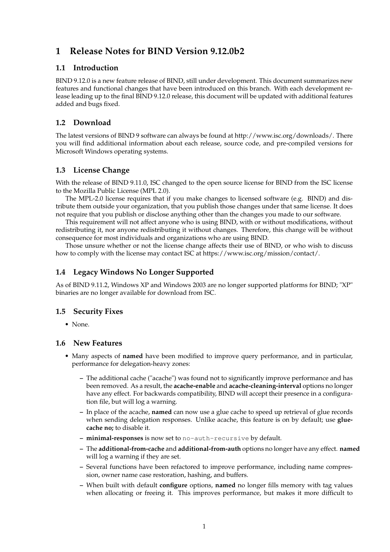# **1 Release Notes for BIND Version 9.12.0b2**

## **1.1 Introduction**

BIND 9.12.0 is a new feature release of BIND, still under development. This document summarizes new features and functional changes that have been introduced on this branch. With each development release leading up to the final BIND 9.12.0 release, this document will be updated with additional features added and bugs fixed.

# **1.2 Download**

The latest versions of BIND 9 software can always be found at http://www.isc.org/downloads/. There you will find additional information about each release, source code, and pre-compiled versions for Microsoft Windows operating systems.

## **1.3 License Change**

With the release of BIND 9.11.0, ISC changed to the open source license for BIND from the ISC license to the Mozilla Public License (MPL 2.0).

The MPL-2.0 license requires that if you make changes to licensed software (e.g. BIND) and distribute them outside your organization, that you publish those changes under that same license. It does not require that you publish or disclose anything other than the changes you made to our software.

This requirement will not affect anyone who is using BIND, with or without modifications, without redistributing it, nor anyone redistributing it without changes. Therefore, this change will be without consequence for most individuals and organizations who are using BIND.

Those unsure whether or not the license change affects their use of BIND, or who wish to discuss how to comply with the license may contact ISC at https://www.isc.org/mission/contact/.

# **1.4 Legacy Windows No Longer Supported**

As of BIND 9.11.2, Windows XP and Windows 2003 are no longer supported platforms for BIND; "XP" binaries are no longer available for download from ISC.

#### **1.5 Security Fixes**

• None.

#### **1.6 New Features**

- Many aspects of **named** have been modified to improve query performance, and in particular, performance for delegation-heavy zones:
	- **–** The additional cache ("acache") was found not to significantly improve performance and has been removed. As a result, the **acache-enable** and **acache-cleaning-interval** options no longer have any effect. For backwards compatibility, BIND will accept their presence in a configuration file, but will log a warning.
	- **–** In place of the acache, **named** can now use a glue cache to speed up retrieval of glue records when sending delegation responses. Unlike acache, this feature is on by default; use glue**cache no;** to disable it.
	- **– minimal-responses** is now set to no-auth-recursive by default.
	- **–** The **additional-from-cache** and **additional-from-auth** options no longer have any effect. **named** will log a warning if they are set.
	- **–** Several functions have been refactored to improve performance, including name compression, owner name case restoration, hashing, and buffers.
	- **–** When built with default **configure** options, **named** no longer fills memory with tag values when allocating or freeing it. This improves performance, but makes it more difficult to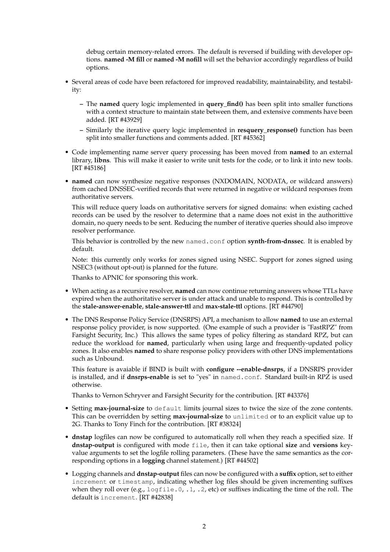debug certain memory-related errors. The default is reversed if building with developer options. **named -M fill** or **named -M nofill** will set the behavior accordingly regardless of build options.

- Several areas of code have been refactored for improved readability, maintainability, and testability:
	- **–** The **named** query logic implemented in **query\_find()** has been split into smaller functions with a context structure to maintain state between them, and extensive comments have been added. [RT #43929]
	- **–** Similarly the iterative query logic implemented in **resquery\_response()** function has been split into smaller functions and comments added. [RT #45362]
- Code implementing name server query processing has been moved from **named** to an external library, **libns**. This will make it easier to write unit tests for the code, or to link it into new tools. [RT #45186]
- **named** can now synthesize negative responses (NXDOMAIN, NODATA, or wildcard answers) from cached DNSSEC-verified records that were returned in negative or wildcard responses from authoritative servers.

This will reduce query loads on authoritative servers for signed domains: when existing cached records can be used by the resolver to determine that a name does not exist in the authorittive domain, no query needs to be sent. Reducing the number of iterative queries should also improve resolver performance.

This behavior is controlled by the new named.conf option **synth-from-dnssec**. It is enabled by default.

Note: this currently only works for zones signed using NSEC. Support for zones signed using NSEC3 (without opt-out) is planned for the future.

Thanks to APNIC for sponsoring this work.

- When acting as a recursive resolver, **named** can now continue returning answers whose TTLs have expired when the authoritative server is under attack and unable to respond. This is controlled by the **stale-answer-enable**, **stale-answer-ttl** and **max-stale-ttl** options. [RT #44790]
- The DNS Response Policy Service (DNSRPS) API, a mechanism to allow **named** to use an external response policy provider, is now supported. (One example of such a provider is "FastRPZ" from Farsight Security, Inc.) This allows the same types of policy filtering as standard RPZ, but can reduce the workload for **named**, particularly when using large and frequently-updated policy zones. It also enables **named** to share response policy providers with other DNS implementations such as Unbound.

This feature is avaiable if BIND is built with **configure --enable-dnsrps**, if a DNSRPS provider is installed, and if **dnsrps-enable** is set to "yes" in named.conf. Standard built-in RPZ is used otherwise.

Thanks to Vernon Schryver and Farsight Security for the contribution. [RT #43376]

- Setting **max-journal-size** to default limits journal sizes to twice the size of the zone contents. This can be overridden by setting **max-journal-size** to unlimited or to an explicit value up to 2G. Thanks to Tony Finch for the contribution. [RT #38324]
- **dnstap** logfiles can now be configured to automatically roll when they reach a specified size. If **dnstap-output** is configured with mode file, then it can take optional **size** and **versions** keyvalue arguments to set the logfile rolling parameters. (These have the same semantics as the corresponding options in a **logging** channel statement.) [RT #44502]
- Logging channels and **dnstap-output** files can now be configured with a **suffix** option, set to either increment or timestamp, indicating whether log files should be given incrementing suffixes when they roll over (e.g.,  $logfile.0, 1, 2, etc$ ) or suffixes indicating the time of the roll. The default is increment. [RT #42838]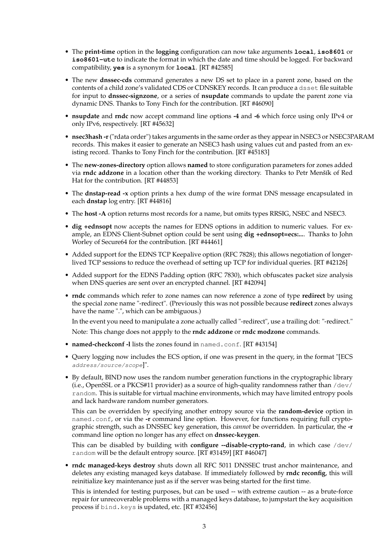- The **print-time** option in the **logging** configuration can now take arguments **local**, **iso8601** or **iso8601-utc** to indicate the format in which the date and time should be logged. For backward compatibility, **yes** is a synonym for **local**. [RT #42585]
- The new **dnssec-cds** command generates a new DS set to place in a parent zone, based on the contents of a child zone's validated CDS or CDNSKEY records. It can produce a dsset file suitable for input to **dnssec-signzone**, or a series of **nsupdate** commands to update the parent zone via dynamic DNS. Thanks to Tony Finch for the contribution. [RT #46090]
- **nsupdate** and **rndc** now accept command line options **-4** and **-6** which force using only IPv4 or only IPv6, respectively. [RT #45632]
- **nsec3hash -r**("rdata order") takes arguments in the same order as they appear in NSEC3 or NSEC3PARAM records. This makes it easier to generate an NSEC3 hash using values cut and pasted from an existing record. Thanks to Tony Finch for the contribution. [RT #45183]
- The **new-zones-directory** option allows **named** to store configuration parameters for zones added via **rndc addzone** in a location other than the working directory. Thanks to Petr Menšík of Red Hat for the contribution. [RT #44853]
- The **dnstap-read -x** option prints a hex dump of the wire format DNS message encapsulated in each **dnstap** log entry. [RT #44816]
- The **host -A** option returns most records for a name, but omits types RRSIG, NSEC and NSEC3.
- **dig +ednsopt** now accepts the names for EDNS options in addition to numeric values. For example, an EDNS Client-Subnet option could be sent using **dig +ednsopt=ecs:...**. Thanks to John Worley of Secure64 for the contribution. [RT #44461]
- Added support for the EDNS TCP Keepalive option (RFC 7828); this allows negotiation of longerlived TCP sessions to reduce the overhead of setting up TCP for individual queries. [RT #42126]
- Added support for the EDNS Padding option (RFC 7830), which obfuscates packet size analysis when DNS queries are sent over an encrypted channel. [RT #42094]
- **rndc** commands which refer to zone names can now reference a zone of type **redirect** by using the special zone name "-redirect". (Previously this was not possible because **redirect** zones always have the name ".", which can be ambiguous.)

In the event you need to manipulate a zone actually called "-redirect", use a trailing dot: "-redirect." Note: This change does not appply to the **rndc addzone** or **rndc modzone** commands.

- **named-checkconf -l** lists the zones found in named.conf. [RT #43154]
- Query logging now includes the ECS option, if one was present in the query, in the format "[ECS address/source/scope]".
- By default, BIND now uses the random number generation functions in the cryptographic library (i.e., OpenSSL or a PKCS#11 provider) as a source of high-quality randomness rather than  $/$ dev $/$ random. This is suitable for virtual machine environments, which may have limited entropy pools and lack hardware random number generators.

This can be overridden by specifying another entropy source via the **random-device** option in named.conf, or via the **-r** command line option. However, for functions requiring full cryptographic strength, such as DNSSEC key generation, this *cannot* be overridden. In particular, the **-r** command line option no longer has any effect on **dnssec-keygen**.

This can be disabled by building with **configure --disable-crypto-rand**, in which case /dev/ random will be the default entropy source. [RT #31459] [RT #46047]

• **rndc managed-keys destroy** shuts down all RFC 5011 DNSSEC trust anchor maintenance, and deletes any existing managed keys database. If immediately followed by **rndc reconfig**, this will reinitialize key maintenance just as if the server was being started for the first time.

This is intended for testing purposes, but can be used -- with extreme caution -- as a brute-force repair for unrecoverable problems with a managed keys database, to jumpstart the key acquisition process if bind.keys is updated, etc. [RT #32456]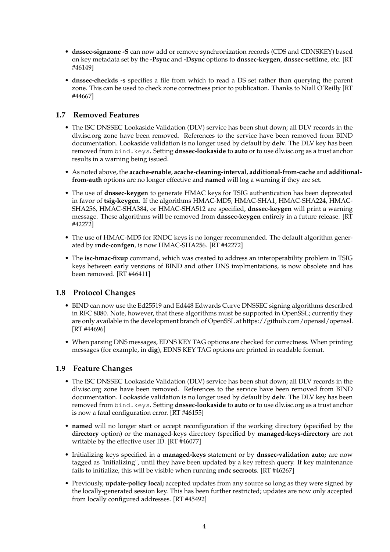- **dnssec-signzone -S** can now add or remove synchronization records (CDS and CDNSKEY) based on key metadata set by the **-Psync** and **-Dsync** options to **dnssec-keygen**, **dnssec-settime**, etc. [RT #46149]
- **dnssec-checkds -s** specifies a file from which to read a DS set rather than querying the parent zone. This can be used to check zone correctness prior to publication. Thanks to Niall O'Reilly [RT #44667]

# **1.7 Removed Features**

- The ISC DNSSEC Lookaside Validation (DLV) service has been shut down; all DLV records in the dlv.isc.org zone have been removed. References to the service have been removed from BIND documentation. Lookaside validation is no longer used by default by **delv**. The DLV key has been removed from bind.keys. Setting **dnssec-lookaside** to **auto** or to use dlv.isc.org as a trust anchor results in a warning being issued.
- As noted above, the **acache-enable**, **acache-cleaning-interval**, **additional-from-cache** and **additionalfrom-auth** options are no longer effective and **named** will log a warning if they are set.
- The use of **dnssec-keygen** to generate HMAC keys for TSIG authentication has been deprecated in favor of **tsig-keygen**. If the algorithms HMAC-MD5, HMAC-SHA1, HMAC-SHA224, HMAC-SHA256, HMAC-SHA384, or HMAC-SHA512 are specified, **dnssec-keygen** will print a warning message. These algorithms will be removed from **dnssec-keygen** entirely in a future release. [RT #42272]
- The use of HMAC-MD5 for RNDC keys is no longer recommended. The default algorithm generated by **rndc-confgen**, is now HMAC-SHA256. [RT #42272]
- The **isc-hmac-fixup** command, which was created to address an interoperability problem in TSIG keys between early versions of BIND and other DNS implmentations, is now obsolete and has been removed. [RT #46411]

#### **1.8 Protocol Changes**

- BIND can now use the Ed25519 and Ed448 Edwards Curve DNSSEC signing algorithms described in RFC 8080. Note, however, that these algorithms must be supported in OpenSSL; currently they are only available in the development branch of OpenSSL at https://github.com/openssl/openssl. [RT #44696]
- When parsing DNS messages, EDNS KEY TAG options are checked for correctness. When printing messages (for example, in **dig**), EDNS KEY TAG options are printed in readable format.

#### **1.9 Feature Changes**

- The ISC DNSSEC Lookaside Validation (DLV) service has been shut down; all DLV records in the dlv.isc.org zone have been removed. References to the service have been removed from BIND documentation. Lookaside validation is no longer used by default by **delv**. The DLV key has been removed from bind.keys. Setting **dnssec-lookaside** to **auto** or to use dlv.isc.org as a trust anchor is now a fatal configuration error. [RT #46155]
- **named** will no longer start or accept reconfiguration if the working directory (specified by the **directory** option) or the managed-keys directory (specified by **managed-keys-directory** are not writable by the effective user ID. [RT #46077]
- Initializing keys specified in a **managed-keys** statement or by **dnssec-validation auto;** are now tagged as "initializing", until they have been updated by a key refresh query. If key maintenance fails to initialize, this will be visible when running **rndc secroots**. [RT #46267]
- Previously, **update-policy local;** accepted updates from any source so long as they were signed by the locally-generated session key. This has been further restricted; updates are now only accepted from locally configured addresses. [RT #45492]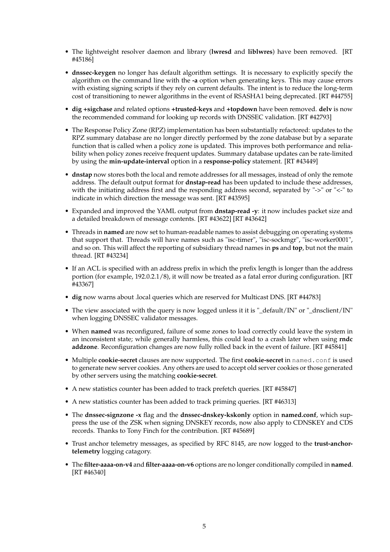- The lightweight resolver daemon and library (**lwresd** and **liblwres**) have been removed. [RT #45186]
- **dnssec-keygen** no longer has default algorithm settings. It is necessary to explicitly specify the algorithm on the command line with the **-a** option when generating keys. This may cause errors with existing signing scripts if they rely on current defaults. The intent is to reduce the long-term cost of transitioning to newer algorithms in the event of RSASHA1 being deprecated. [RT #44755]
- **dig +sigchase** and related options **+trusted-keys** and **+topdown** have been removed. **delv** is now the recommended command for looking up records with DNSSEC validation. [RT #42793]
- The Response Policy Zone (RPZ) implementation has been substantially refactored: updates to the RPZ summary database are no longer directly performed by the zone database but by a separate function that is called when a policy zone is updated. This improves both performance and reliability when policy zones receive frequent updates. Summary database updates can be rate-limited by using the **min-update-interval** option in a **response-policy** statement. [RT #43449]
- **dnstap** now stores both the local and remote addresses for all messages, instead of only the remote address. The default output format for **dnstap-read** has been updated to include these addresses, with the initiating address first and the responding address second, separated by "->" or "<-" to indicate in which direction the message was sent. [RT #43595]
- Expanded and improved the YAML output from **dnstap-read -y**: it now includes packet size and a detailed breakdown of message contents. [RT #43622] [RT #43642]
- Threads in **named** are now set to human-readable names to assist debugging on operating systems that support that. Threads will have names such as "isc-timer", "isc-sockmgr", "isc-worker0001", and so on. This will affect the reporting of subsidiary thread names in **ps** and **top**, but not the main thread. [RT #43234]
- If an ACL is specified with an address prefix in which the prefix length is longer than the address portion (for example, 192.0.2.1/8), it will now be treated as a fatal error during configuration. [RT #43367]
- **dig** now warns about .local queries which are reserved for Multicast DNS. [RT #44783]
- The view associated with the query is now logged unless it it is "\_default/IN" or "\_dnsclient/IN" when logging DNSSEC validator messages.
- When **named** was reconfigured, failure of some zones to load correctly could leave the system in an inconsistent state; while generally harmless, this could lead to a crash later when using **rndc addzone**. Reconfiguration changes are now fully rolled back in the event of failure. [RT #45841]
- Multiple **cookie-secret** clauses are now supported. The first **cookie-secret** in named.conf is used to generate new server cookies. Any others are used to accept old server cookies or those generated by other servers using the matching **cookie-secret**.
- A new statistics counter has been added to track prefetch queries. [RT #45847]
- A new statistics counter has been added to track priming queries. [RT #46313]
- The **dnssec-signzone -x** flag and the **dnssec-dnskey-kskonly** option in **named.conf**, which suppress the use of the ZSK when signing DNSKEY records, now also apply to CDNSKEY and CDS records. Thanks to Tony Finch for the contribution. [RT #45689]
- Trust anchor telemetry messages, as specified by RFC 8145, are now logged to the **trust-anchortelemetry** logging catagory.
- The **filter-aaaa-on-v4** and **filter-aaaa-on-v6** options are no longer conditionally compiled in **named**. [RT #46340]